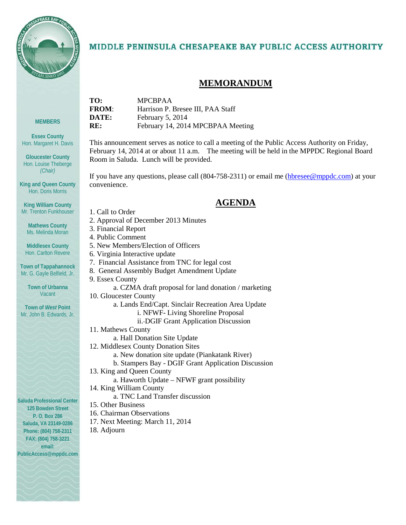

**MEMBERS**

**Essex County** Hon. Margaret H. Davis

**Gloucester County** Hon. Louise Theberge *(Chair)*

**King and Queen County** Hon. Doris Morris

**King William County** Mr. Trenton Funkhouser

> **Mathews County** Ms. Melinda Moran

**Middlesex County** Hon. Carlton Revere

**Town of Tappahannock** Mr. G. Gayle Belfield, Jr.

> **Town of Urbanna Vacant**

**Town of** *West* **Point** Mr. John B. Edwards, Jr.

### MIDDLE PENINSULA CHESAPEAKE BAY PUBLIC ACCESS AUTHORITY

### **MEMORANDUM**

| TO:          | <b>MPCBPAA</b>                    |
|--------------|-----------------------------------|
| <b>FROM:</b> | Harrison P. Bresee III, PAA Staff |
| DATE:        | February 5, 2014                  |
| RE:          | February 14, 2014 MPCBPAA Meeting |
|              |                                   |

This announcement serves as notice to call a meeting of the Public Access Authority on Friday, February 14, 2014 at or about 11 a.m. The meeting will be held in the MPPDC Regional Board Room in Saluda. Lunch will be provided.

If you have any questions, please call (804-758-2311) or email me [\(hbresee@mppdc.com\)](mailto:hbresee@mppdc.com) at your convenience.

### **AGENDA**

- 1. Call to Order
- 2. Approval of December 2013 Minutes
- 3. Financial Report
- 4. Public Comment
- 5. New Members/Election of Officers
- 6. Virginia Interactive update
- 7. Financial Assistance from TNC for legal cost
- 8. General Assembly Budget Amendment Update
- 9. Essex County
	- a. CZMA draft proposal for land donation / marketing
	- 10. Gloucester County
		- a. Lands End/Capt. Sinclair Recreation Area Update
			- i. NFWF- Living Shoreline Proposal
			- ii. DGIF Grant Application Discussion
	- 11. Mathews County
	- a. Hall Donation Site Update
	- 12. Middlesex County Donation Sites
		- a. New donation site update (Piankatank River)
		- b. Stampers Bay DGIF Grant Application Discussion
	- 13. King and Queen County
		- a. Haworth Update NFWF grant possibility
	- 14. King William County
		- a. TNC Land Transfer discussion
	- 15. Other Business
	- 16. Chairman Observations
	- 17. Next Meeting: March 11, 2014
	- 18. Adjourn

**Saluda Professional Center 125 Bowden Street P. O. Box 286 Saluda, VA 23149-0286 Phone: (804) 758-2311 FAX: (804) 758-3221 email:** 

**PublicAccess@mppdc.com**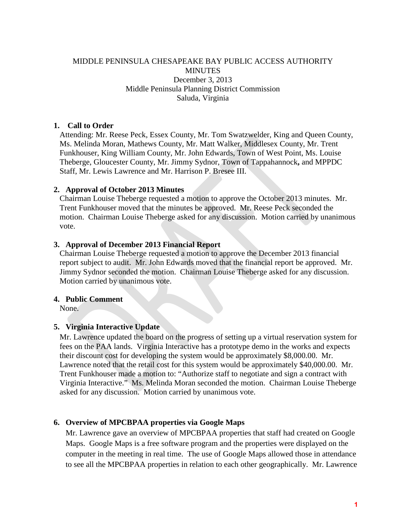### MIDDLE PENINSULA CHESAPEAKE BAY PUBLIC ACCESS AUTHORITY **MINUTES** December 3, 2013 Middle Peninsula Planning District Commission Saluda, Virginia

### **1. Call to Order**

Attending: Mr. Reese Peck, Essex County, Mr. Tom Swatzwelder, King and Queen County, Ms. Melinda Moran, Mathews County, Mr. Matt Walker, Middlesex County, Mr. Trent Funkhouser, King William County, Mr. John Edwards, Town of West Point, Ms. Louise Theberge, Gloucester County, Mr. Jimmy Sydnor, Town of Tappahannock**,** and MPPDC Staff, Mr. Lewis Lawrence and Mr. Harrison P. Bresee III.

### **2. Approval of October 2013 Minutes**

Chairman Louise Theberge requested a motion to approve the October 2013 minutes. Mr. Trent Funkhouser moved that the minutes be approved. Mr. Reese Peck seconded the motion. Chairman Louise Theberge asked for any discussion. Motion carried by unanimous vote.

### **3. Approval of December 2013 Financial Report**

Chairman Louise Theberge requested a motion to approve the December 2013 financial report subject to audit. Mr. John Edwards moved that the financial report be approved. Mr. Jimmy Sydnor seconded the motion. Chairman Louise Theberge asked for any discussion. Motion carried by unanimous vote.

### **4. Public Comment**

None.

### **5. Virginia Interactive Update**

Mr. Lawrence updated the board on the progress of setting up a virtual reservation system for fees on the PAA lands. Virginia Interactive has a prototype demo in the works and expects their discount cost for developing the system would be approximately \$8,000.00. Mr. Lawrence noted that the retail cost for this system would be approximately \$40,000.00. Mr. Trent Funkhouser made a motion to: "Authorize staff to negotiate and sign a contract with Virginia Interactive." Ms. Melinda Moran seconded the motion. Chairman Louise Theberge asked for any discussion. Motion carried by unanimous vote.

### **6. Overview of MPCBPAA properties via Google Maps**

Mr. Lawrence gave an overview of MPCBPAA properties that staff had created on Google Maps. Google Maps is a free software program and the properties were displayed on the computer in the meeting in real time. The use of Google Maps allowed those in attendance to see all the MPCBPAA properties in relation to each other geographically. Mr. Lawrence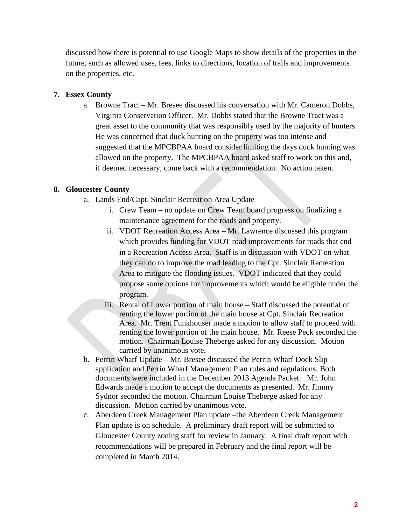discussed how there is potential to use Google Maps to show details of the properties in the future, such as allowed uses, fees, links to directions, location of trails and improvements on the properties, etc.

#### **7. Essex County**

a. Browne Tract – Mr. Bresee discussed his conversation with Mr. Cameron Dobbs, Virginia Conservation Officer. Mr. Dobbs stated that the Browne Tract was a great asset to the community that was responsibly used by the majority of hunters. He was concerned that duck hunting on the property was too intense and suggested that the MPCBPAA board consider limiting the days duck hunting was allowed on the property. The MPCBPAA board asked staff to work on this and, if deemed necessary, come back with a recommendation. No action taken.

#### **8. Gloucester County**

- a. Lands End/Capt. Sinclair Recreation Area Update
	- i. Crew Team no update on Crew Team board progress on finalizing a maintenance agreement for the roads and property.
	- ii. VDOT Recreation Access Area Mr. Lawrence discussed this program which provides funding for VDOT road improvements for roads that end in a Recreation Access Area. Staff is in discussion with VDOT on what they can do to improve the road leading to the Cpt. Sinclair Recreation Area to mitigate the flooding issues. VDOT indicated that they could propose some options for improvements which would be eligible under the program.
	- iii. Rental of Lower portion of main house Staff discussed the potential of renting the lower portion of the main house at Cpt. Sinclair Recreation Area. Mr. Trent Funkhouser made a motion to allow staff to proceed with renting the lower portion of the main house. Mr. Reese Peck seconded the motion. Chairman Louise Theberge asked for any discussion. Motion carried by unanimous vote.
- b. Perrin Wharf Update Mr. Bresee discussed the Perrin Wharf Dock Slip application and Perrin Wharf Management Plan rules and regulations. Both documents were included in the December 2013 Agenda Packet. Mr. John Edwards made a motion to accept the documents as presented. Mr. Jimmy Sydnor seconded the motion. Chairman Louise Theberge asked for any discussion. Motion carried by unanimous vote.
- c. Aberdeen Creek Management Plan update –the Aberdeen Creek Management Plan update is on schedule. A preliminary draft report will be submitted to Gloucester County zoning staff for review in January. A final draft report with recommendations will be prepared in February and the final report will be completed in March 2014.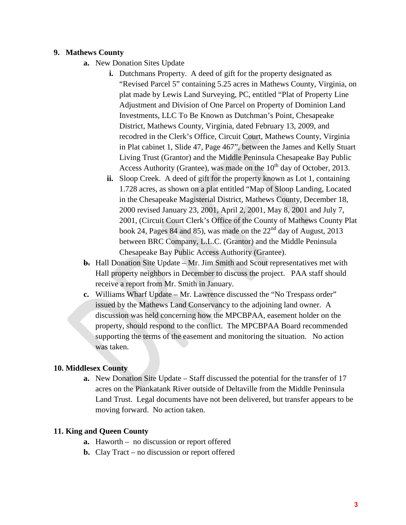### **9. Mathews County**

- **a.** New Donation Sites Update
	- **i.** Dutchmans Property. A deed of gift for the property designated as "Revised Parcel 5" containing 5.25 acres in Mathews County, Virginia, on plat made by Lewis Land Surveying, PC, entitled "Plat of Property Line Adjustment and Division of One Parcel on Property of Dominion Land Investments, LLC To Be Known as Dutchman's Point, Chesapeake District, Mathews County, Virginia, dated February 13, 2009, and recodred in the Clerk's Office, Circuit Court, Mathews County, Virginia in Plat cabinet 1, Slide 47, Page 467", between the James and Kelly Stuart Living Trust (Grantor) and the Middle Peninsula Chesapeake Bay Public Access Authority (Grantee), was made on the  $10<sup>th</sup>$  day of October, 2013.
	- **ii.** Sloop Creek. A deed of gift for the property known as Lot 1, containing 1.728 acres, as shown on a plat entitled "Map of Sloop Landing, Located in the Chesapeake Magisterial District, Mathews County, December 18, 2000 revised January 23, 2001, April 2, 2001, May 8, 2001 and July 7, 2001, (Circuit Court Clerk's Office of the County of Mathews County Plat book 24, Pages 84 and 85), was made on the  $22<sup>nd</sup>$  day of August, 2013 between BRC Company, L.L.C. (Grantor) and the Middle Peninsula Chesapeake Bay Public Access Authority (Grantee).
- **b.** Hall Donation Site Update Mr. Jim Smith and Scout representatives met with Hall property neighbors in December to discuss the project. PAA staff should receive a report from Mr. Smith in January.
- **c.** Williams Wharf Update Mr. Lawrence discussed the "No Trespass order" issued by the Mathews Land Conservancy to the adjoining land owner. A discussion was held concerning how the MPCBPAA, easement holder on the property, should respond to the conflict. The MPCBPAA Board recommended supporting the terms of the easement and monitoring the situation. No action was taken.

### **10. Middlesex County**

**a.** New Donation Site Update – Staff discussed the potential for the transfer of 17 acres on the Piankatank River outside of Deltaville from the Middle Peninsula Land Trust. Legal documents have not been delivered, but transfer appears to be moving forward. No action taken.

### **11. King and Queen County**

- **a.** Haworth no discussion or report offered
- **b.** Clay Tract no discussion or report offered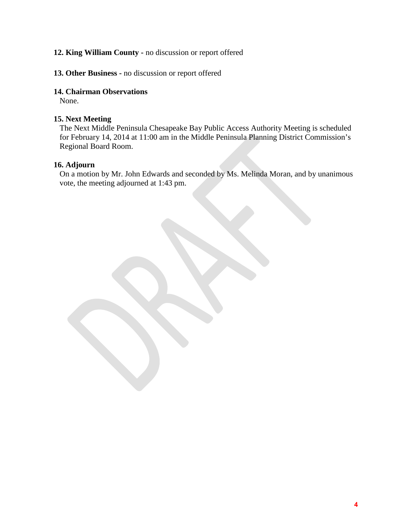### **12. King William County -** no discussion or report offered

### **13. Other Business -** no discussion or report offered

### **14. Chairman Observations**

None.

### **15. Next Meeting**

The Next Middle Peninsula Chesapeake Bay Public Access Authority Meeting is scheduled for February 14, 2014 at 11:00 am in the Middle Peninsula Planning District Commission's Regional Board Room.

### **16. Adjourn**

On a motion by Mr. John Edwards and seconded by Ms. Melinda Moran, and by unanimous vote, the meeting adjourned at 1:43 pm.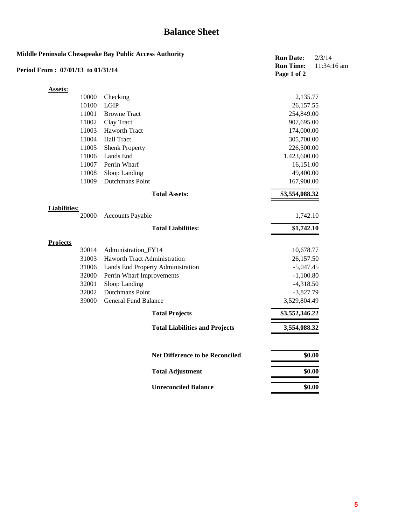# **Balance Sheet**

|                                   |       | Middle Peninsula Chesapeake Bay Public Access Authority | <b>Run Date:</b>                | 2/3/14        |
|-----------------------------------|-------|---------------------------------------------------------|---------------------------------|---------------|
| Period From: 07/01/13 to 01/31/14 |       |                                                         | <b>Run Time:</b><br>Page 1 of 2 | $11:34:16$ am |
| Assets:                           |       |                                                         |                                 |               |
|                                   | 10000 | Checking                                                | 2,135.77                        |               |
|                                   | 10100 | <b>LGIP</b>                                             | 26, 157.55                      |               |
|                                   | 11001 | <b>Browne Tract</b>                                     | 254,849.00                      |               |
|                                   | 11002 | Clay Tract                                              | 907,695.00                      |               |
|                                   | 11003 | Haworth Tract                                           | 174,000.00                      |               |
|                                   | 11004 | <b>Hall Tract</b>                                       | 305,700.00                      |               |
|                                   | 11005 | <b>Shenk Property</b>                                   | 226,500.00                      |               |
|                                   | 11006 | Lands End                                               | 1,423,600.00                    |               |
|                                   | 11007 | Perrin Wharf                                            | 16,151.00                       |               |
|                                   | 11008 | Sloop Landing                                           | 49,400.00                       |               |
|                                   | 11009 | <b>Dutchmans Point</b>                                  | 167,900.00                      |               |
|                                   |       | <b>Total Assets:</b>                                    | \$3,554,088.32                  |               |
| <b>Liabilities:</b>               |       |                                                         |                                 |               |
|                                   | 20000 | <b>Accounts Payable</b>                                 | 1,742.10                        |               |
|                                   |       | <b>Total Liabilities:</b>                               | \$1,742.10                      |               |
| <b>Projects</b>                   |       |                                                         |                                 |               |
|                                   | 30014 | Administration_FY14                                     | 10,678.77                       |               |
|                                   | 31003 | Haworth Tract Administration                            | 26,157.50                       |               |
|                                   | 31006 | Lands End Property Administration                       | $-5,047.45$                     |               |
|                                   | 32000 | Perrin Wharf Improvements                               | $-1,100.80$                     |               |
|                                   | 32001 | Sloop Landing                                           | $-4,318.50$                     |               |
|                                   | 32002 | <b>Dutchmans Point</b>                                  | $-3,827.79$                     |               |
|                                   | 39000 | <b>General Fund Balance</b>                             | 3,529,804.49                    |               |
|                                   |       | <b>Total Projects</b>                                   | \$3,552,346.22                  |               |
|                                   |       | <b>Total Liabilities and Projects</b>                   | 3,554,088.32                    |               |
|                                   |       | <b>Net Difference to be Reconciled</b>                  |                                 | \$0.00        |
|                                   |       | <b>Total Adjustment</b>                                 |                                 | \$0.00        |
|                                   |       | <b>Unreconciled Balance</b>                             |                                 | \$0.00        |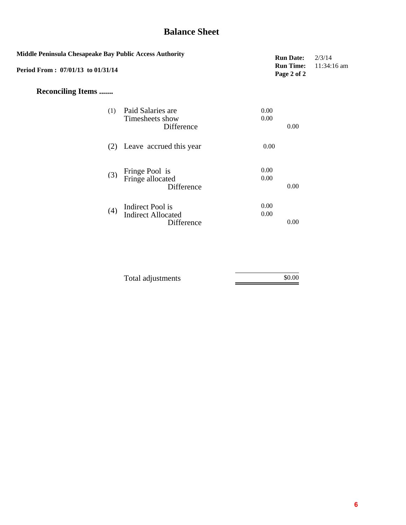# **Balance Sheet**

| Middle Peninsula Chesapeake Bay Public Access Authority<br>Period From: 07/01/13 to 01/31/14 | <b>Run Date:</b><br><b>Run Time:</b><br>Page 2 of 2         | 2/3/14<br>$11:34:16$ am |  |
|----------------------------------------------------------------------------------------------|-------------------------------------------------------------|-------------------------|--|
| <b>Reconciling Items </b>                                                                    |                                                             |                         |  |
| (1)                                                                                          | Paid Salaries are<br>Timesheets show<br>Difference          | 0.00<br>0.00<br>0.00    |  |
| (2)                                                                                          | Leave accrued this year                                     | 0.00                    |  |
| (3)                                                                                          | Fringe Pool is<br>Fringe allocated<br>Difference            | 0.00<br>0.00<br>0.00    |  |
| (4)                                                                                          | Indirect Pool is<br><b>Indirect Allocated</b><br>Difference | 0.00<br>0.00<br>0.00    |  |

| Total adjustments | \$0.00 |
|-------------------|--------|
|                   |        |
|                   |        |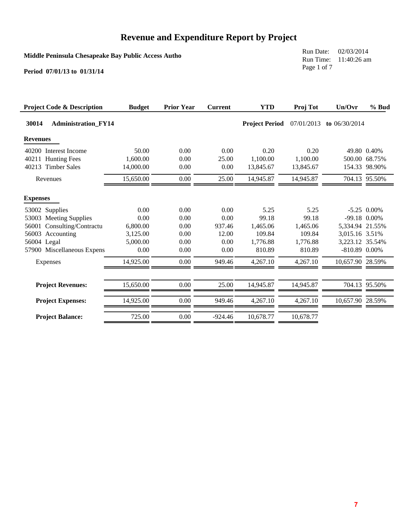**Middle Peninsula Chesapeake Bay Public Access Autho**

Run Date: 02/03/2014 Run Time: 11:40:26 am Page 1 of 7

| <b>Project Code &amp; Description</b>                                                                                                                  | <b>Budget</b>                                                         | <b>Prior Year</b>                                    | <b>Current</b>                                            | <b>YTD</b>                                                            | Proj Tot                                                              | Un/Ovr                                                                                                      | % Bud                                         |
|--------------------------------------------------------------------------------------------------------------------------------------------------------|-----------------------------------------------------------------------|------------------------------------------------------|-----------------------------------------------------------|-----------------------------------------------------------------------|-----------------------------------------------------------------------|-------------------------------------------------------------------------------------------------------------|-----------------------------------------------|
| 30014<br><b>Administration FY14</b>                                                                                                                    |                                                                       |                                                      |                                                           | <b>Project Period</b>                                                 | 07/01/2013                                                            | to $06/30/2014$                                                                                             |                                               |
| <b>Revenues</b>                                                                                                                                        |                                                                       |                                                      |                                                           |                                                                       |                                                                       |                                                                                                             |                                               |
| 40200<br>Interest Income<br>40211 Hunting Fees<br><b>Timber Sales</b><br>40213                                                                         | 50.00<br>1,600.00<br>14,000.00                                        | 0.00<br>0.00<br>0.00                                 | 0.00<br>25.00<br>0.00                                     | 0.20<br>1,100.00<br>13,845.67                                         | 0.20<br>1,100.00<br>13,845.67                                         |                                                                                                             | 49.80 0.40%<br>500.00 68.75%<br>154.33 98.90% |
| Revenues                                                                                                                                               | 15,650.00                                                             | 0.00                                                 | 25.00                                                     | 14,945.87                                                             | 14,945.87                                                             |                                                                                                             | 704.13 95.50%                                 |
| <b>Expenses</b>                                                                                                                                        |                                                                       |                                                      |                                                           |                                                                       |                                                                       |                                                                                                             |                                               |
| 53002 Supplies<br>53003 Meeting Supplies<br>Consulting/Contractu<br>56001<br>56003 Accounting<br>56004 Legal<br>57900 Miscellaneous Expens<br>Expenses | 0.00<br>0.00<br>6,800.00<br>3,125.00<br>5,000.00<br>0.00<br>14,925.00 | 0.00<br>0.00<br>0.00<br>0.00<br>0.00<br>0.00<br>0.00 | 0.00<br>0.00<br>937.46<br>12.00<br>0.00<br>0.00<br>949.46 | 5.25<br>99.18<br>1,465.06<br>109.84<br>1,776.88<br>810.89<br>4,267.10 | 5.25<br>99.18<br>1,465.06<br>109.84<br>1,776.88<br>810.89<br>4,267.10 | -99.18 0.00%<br>5,334.94 21.55%<br>3,015.16 3.51%<br>3,223.12 35.54%<br>$-810.89$ 0.00%<br>10,657.90 28.59% | $-5.25$ 0.00%                                 |
| <b>Project Revenues:</b>                                                                                                                               | 15,650.00                                                             | 0.00                                                 | 25.00                                                     | 14,945.87                                                             | 14,945.87                                                             |                                                                                                             | 704.13 95.50%                                 |
| <b>Project Expenses:</b>                                                                                                                               | 14,925.00                                                             | 0.00                                                 | 949.46                                                    | 4,267.10                                                              | 4,267.10                                                              | 10,657.90 28.59%                                                                                            |                                               |
| <b>Project Balance:</b>                                                                                                                                | 725.00                                                                | 0.00                                                 | $-924.46$                                                 | 10,678.77                                                             | 10,678.77                                                             |                                                                                                             |                                               |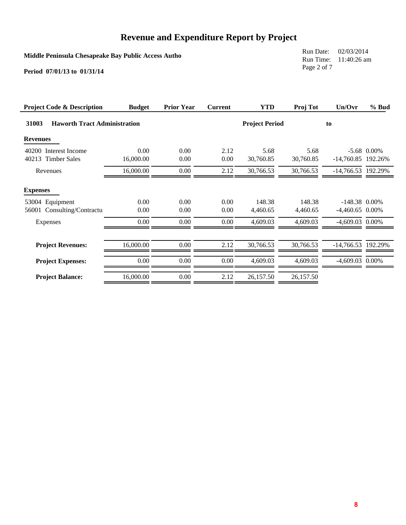**Middle Peninsula Chesapeake Bay Public Access Autho**

Run Date: 02/03/2014 Run Time: 11:40:26 am Page 2 of 7

| <b>Project Code &amp; Description</b>        | <b>Budget</b>     | <b>Prior Year</b> | <b>Current</b> | <b>YTD</b>            | <b>Proj Tot</b>   | Un/Ovr               | % Bud         |
|----------------------------------------------|-------------------|-------------------|----------------|-----------------------|-------------------|----------------------|---------------|
| 31003<br><b>Haworth Tract Administration</b> |                   |                   |                | <b>Project Period</b> |                   | to                   |               |
| <b>Revenues</b>                              |                   |                   |                |                       |                   |                      |               |
| 40200 Interest Income<br>40213 Timber Sales  | 0.00<br>16,000.00 | 0.00<br>0.00      | 2.12<br>0.00   | 5.68<br>30,760.85     | 5.68<br>30,760.85 | $-14,760.85$ 192.26% | $-5.68$ 0.00% |
| Revenues                                     | 16,000.00         | 0.00              | 2.12           | 30,766.53             | 30,766.53         | -14,766.53 192.29%   |               |
| <b>Expenses</b><br>53004 Equipment           | 0.00              | 0.00              | 0.00           | 148.38                | 148.38            | $-148.38$ 0.00%      |               |
| Consulting/Contractu<br>56001                | 0.00              | 0.00              | 0.00           | 4,460.65              | 4,460.65          | $-4,460.65$ 0.00%    |               |
| Expenses                                     | 0.00              | 0.00              | 0.00           | 4,609.03              | 4,609.03          | $-4,609.03$ 0.00%    |               |
| <b>Project Revenues:</b>                     | 16,000.00         | 0.00              | 2.12           | 30,766.53             | 30,766.53         | $-14,766.53$ 192.29% |               |
| <b>Project Expenses:</b>                     | 0.00              | 0.00              | 0.00           | 4,609.03              | 4,609.03          | -4,609.03 0.00%      |               |
| <b>Project Balance:</b>                      | 16,000.00         | 0.00              | 2.12           | 26,157.50             | 26,157.50         |                      |               |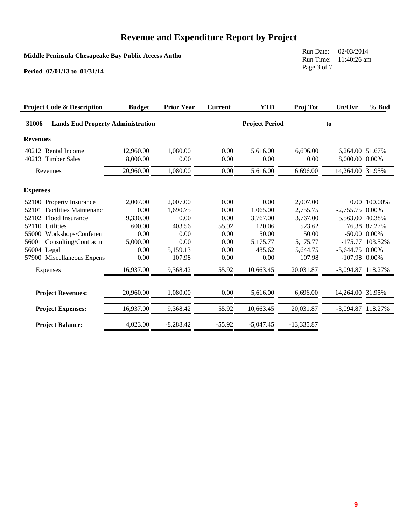**Middle Peninsula Chesapeake Bay Public Access Autho**

Run Date: 02/03/2014 Run Time: 11:40:26 am Page 3 of 7

| <b>Project Code &amp; Description</b>             | <b>Budget</b>         | <b>Prior Year</b> | <b>Current</b> | <b>YTD</b>            | Proj Tot         | Un/Ovr                            | % Bud             |
|---------------------------------------------------|-----------------------|-------------------|----------------|-----------------------|------------------|-----------------------------------|-------------------|
| 31006<br><b>Lands End Property Administration</b> |                       |                   |                | <b>Project Period</b> |                  | to                                |                   |
| <b>Revenues</b>                                   |                       |                   |                |                       |                  |                                   |                   |
| 40212 Rental Income<br>40213 Timber Sales         | 12,960.00<br>8,000.00 | 1,080.00<br>0.00  | 0.00<br>0.00   | 5,616.00<br>0.00      | 6,696.00<br>0.00 | 6.264.00 51.67%<br>8,000.00 0.00% |                   |
| Revenues                                          | 20,960.00             | 1,080.00          | 0.00           | 5,616.00              | 6,696.00         | 14,264.00 31.95%                  |                   |
| <b>Expenses</b>                                   |                       |                   |                |                       |                  |                                   |                   |
| 52100 Property Insurance                          | 2,007.00              | 2,007.00          | 0.00           | 0.00                  | 2,007.00         |                                   | 0.00 100.00%      |
| 52101 Facilities Maintenanc                       | 0.00                  | 1,690.75          | 0.00           | 1,065.00              | 2,755.75         | $-2,755.75$ 0.00%                 |                   |
| Flood Insurance<br>52102                          | 9,330.00              | 0.00              | 0.00           | 3,767.00              | 3,767.00         | 5,563.00 40.38%                   |                   |
| 52110 Utilities                                   | 600.00                | 403.56            | 55.92          | 120.06                | 523.62           |                                   | 76.38 87.27%      |
| 55000 Workshops/Conferen                          | 0.00                  | 0.00              | 0.00           | 50.00                 | 50.00            |                                   | $-50.00$ $0.00\%$ |
| 56001 Consulting/Contractu                        | 5,000.00              | 0.00              | 0.00           | 5,175.77              | 5,175.77         | $-175.77$                         | 103.52%           |
| 56004 Legal                                       | 0.00                  | 5,159.13          | 0.00           | 485.62                | 5,644.75         | $-5,644.75$ 0.00%                 |                   |
| 57900 Miscellaneous Expens                        | 0.00                  | 107.98            | 0.00           | 0.00                  | 107.98           | $-107.98$ 0.00%                   |                   |
| Expenses                                          | 16,937.00             | 9,368.42          | 55.92          | 10,663.45             | 20,031.87        | -3,094.87 118.27%                 |                   |
|                                                   |                       |                   |                |                       |                  |                                   |                   |
| <b>Project Revenues:</b>                          | 20,960.00             | 1,080.00          | 0.00           | 5,616.00              | 6,696.00         | 14,264.00 31.95%                  |                   |
| <b>Project Expenses:</b>                          | 16,937.00             | 9,368.42          | 55.92          | 10,663.45             | 20,031.87        | -3,094.87 118.27%                 |                   |
| <b>Project Balance:</b>                           | 4,023.00              | $-8,288.42$       | $-55.92$       | $-5,047.45$           | $-13,335.87$     |                                   |                   |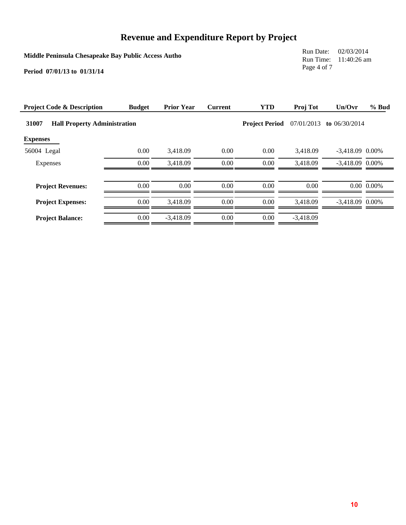**Middle Peninsula Chesapeake Bay Public Access Autho**

Run Date: 02/03/2014 Run Time: 11:40:26 am Page 4 of 7

| <b>Project Code &amp; Description</b>        | <b>Budget</b> | <b>Prior Year</b> | <b>Current</b> | <b>YTD</b>            | Proj Tot    | Un/Ovr            | % Bud          |
|----------------------------------------------|---------------|-------------------|----------------|-----------------------|-------------|-------------------|----------------|
| 31007<br><b>Hall Property Administration</b> |               |                   |                | <b>Project Period</b> | 07/01/2013  | to $06/30/2014$   |                |
| <b>Expenses</b>                              |               |                   |                |                       |             |                   |                |
| 56004 Legal                                  | 0.00          | 3.418.09          | 0.00           | 0.00                  | 3.418.09    | $-3,418.09$ 0.00% |                |
| Expenses                                     | 0.00          | 3,418.09          | 0.00           | 0.00                  | 3,418.09    | $-3,418.09$ 0.00% |                |
| <b>Project Revenues:</b>                     | 0.00          | 0.00              | 0.00           | 0.00                  | 0.00        |                   | $0.00\ 0.00\%$ |
| <b>Project Expenses:</b>                     | 0.00          | 3.418.09          | 0.00           | 0.00                  | 3.418.09    | $-3.418.09$ 0.00% |                |
| <b>Project Balance:</b>                      | 0.00          | $-3,418.09$       | 0.00           | 0.00                  | $-3.418.09$ |                   |                |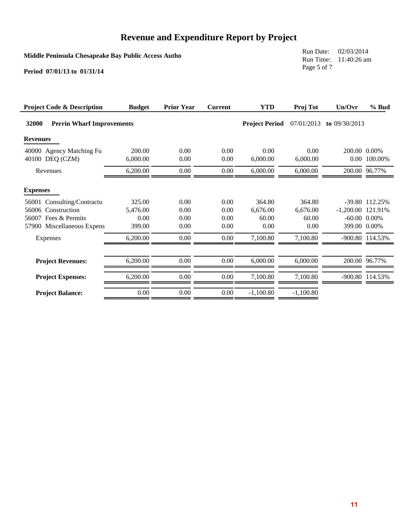**Middle Peninsula Chesapeake Bay Public Access Autho**

Run Date: 02/03/2014 Run Time: 11:40:26 am Page 5 of 7

| <b>Project Code &amp; Description</b>       | <b>Budget</b>      | <b>Prior Year</b> | <b>Current</b> | <b>YTD</b>            | Proj Tot         | Un/Ovr              | $%$ Bud           |
|---------------------------------------------|--------------------|-------------------|----------------|-----------------------|------------------|---------------------|-------------------|
| 32000<br><b>Perrin Wharf Improvements</b>   |                    |                   |                | <b>Project Period</b> | 07/01/2013       | to $09/30/2013$     |                   |
| <b>Revenues</b>                             |                    |                   |                |                       |                  |                     |                   |
| 40000 Agency Matching Fu<br>40100 DEQ (CZM) | 200.00<br>6,000.00 | 0.00<br>0.00      | 0.00<br>0.00   | 0.00<br>6,000.00      | 0.00<br>6,000.00 | 200.00 0.00%        | 0.00 100.00%      |
| Revenues                                    | 6,200.00           | 0.00              | $0.00\,$       | 6,000.00              | 6,000.00         |                     | 200.00 96.77%     |
| <b>Expenses</b>                             |                    |                   |                |                       |                  |                     |                   |
| Consulting/Contractu<br>56001               | 325.00             | 0.00              | 0.00           | 364.80                | 364.80           |                     | -39.80 112.25%    |
| Construction<br>56006                       | 5,476.00           | 0.00              | 0.00           | 6,676.00              | 6,676.00         | $-1,200.00$ 121.91% |                   |
| 56007 Fees & Permits                        | 0.00               | 0.00              | 0.00           | 60.00                 | 60.00            |                     | $-60.00$ $0.00\%$ |
| 57900 Miscellaneous Expens                  | 399.00             | 0.00              | 0.00           | 0.00                  | 0.00             | 399.00 0.00%        |                   |
| Expenses                                    | 6,200.00           | 0.00              | $0.00\,$       | 7,100.80              | 7,100.80         |                     | -900.80 114.53%   |
| <b>Project Revenues:</b>                    | 6,200.00           | 0.00              | $0.00\,$       | 6,000.00              | 6,000.00         |                     | 200.00 96.77%     |
| <b>Project Expenses:</b>                    | 6,200.00           | 0.00              | $0.00\,$       | 7,100.80              | 7,100.80         |                     | -900.80 114.53%   |
| <b>Project Balance:</b>                     | 0.00               | 0.00              | $0.00\,$       | $-1,100.80$           | $-1,100.80$      |                     |                   |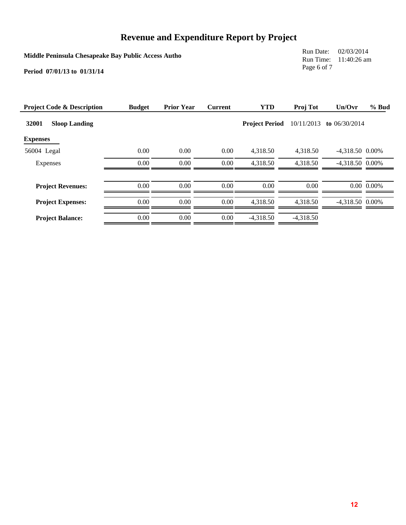**Middle Peninsula Chesapeake Bay Public Access Autho**

Run Date: 02/03/2014 Run Time: 11:40:26 am Page 6 of 7

| <b>Project Code &amp; Description</b> | <b>Budget</b> | <b>Prior Year</b> | <b>Current</b> | <b>YTD</b>            | Proj Tot    | Un/Ovr            | % Bud          |
|---------------------------------------|---------------|-------------------|----------------|-----------------------|-------------|-------------------|----------------|
| 32001<br><b>Sloop Landing</b>         |               |                   |                | <b>Project Period</b> | 10/11/2013  | to $06/30/2014$   |                |
| <b>Expenses</b>                       |               |                   |                |                       |             |                   |                |
| 56004 Legal                           | 0.00          | 0.00              | 0.00           | 4,318.50              | 4,318.50    | $-4,318.50$ 0.00% |                |
| Expenses                              | 0.00          | 0.00              | 0.00           | 4,318.50              | 4,318.50    | $-4,318.50$ 0.00% |                |
|                                       |               |                   |                |                       |             |                   |                |
| <b>Project Revenues:</b>              | 0.00          | 0.00              | 0.00           | 0.00                  | 0.00        |                   | $0.00\ 0.00\%$ |
| <b>Project Expenses:</b>              | 0.00          | 0.00              | 0.00           | 4.318.50              | 4.318.50    | $-4,318.50$ 0.00% |                |
| <b>Project Balance:</b>               | 0.00          | 0.00              | 0.00           | $-4.318.50$           | $-4.318.50$ |                   |                |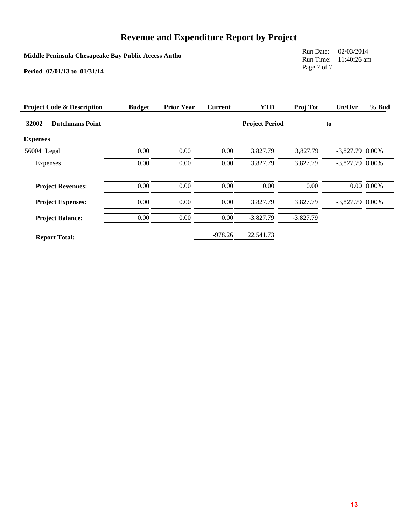**Middle Peninsula Chesapeake Bay Public Access Autho**

Run Date: 02/03/2014 Run Time: 11:40:26 am Page 7 of 7

| <b>Project Code &amp; Description</b> | <b>Budget</b> | <b>Prior Year</b> | <b>Current</b> | <b>YTD</b>            | Proj Tot    | Un/Ovr            | $%$ Bud             |
|---------------------------------------|---------------|-------------------|----------------|-----------------------|-------------|-------------------|---------------------|
| 32002<br><b>Dutchmans Point</b>       |               |                   |                | <b>Project Period</b> |             | to                |                     |
| <b>Expenses</b>                       |               |                   |                |                       |             |                   |                     |
| 56004 Legal                           | 0.00          | 0.00              | $0.00\,$       | 3,827.79              | 3,827.79    | $-3,827.79$ 0.00% |                     |
| Expenses                              | 0.00          | 0.00              | $0.00\,$       | 3,827.79              | 3,827.79    | $-3,827.79$ 0.00% |                     |
|                                       |               |                   |                |                       |             |                   |                     |
| <b>Project Revenues:</b>              | 0.00          | 0.00              | 0.00           | 0.00                  | 0.00        |                   | $0.00 \quad 0.00\%$ |
| <b>Project Expenses:</b>              | 0.00          | 0.00              | $0.00\,$       | 3,827.79              | 3.827.79    | $-3,827.79$ 0.00% |                     |
| <b>Project Balance:</b>               | 0.00          | 0.00              | $0.00\,$       | $-3,827.79$           | $-3,827.79$ |                   |                     |
| <b>Report Total:</b>                  |               |                   | $-978.26$      | 22,541.73             |             |                   |                     |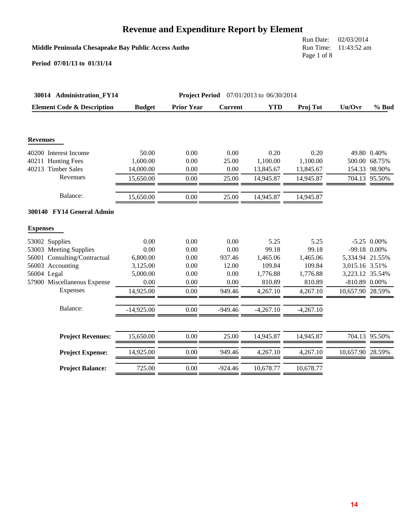# **Revenue and Expenditure Report by Element**

### **Middle Peninsula Chesapeake Bay Public Access Autho**

Run Date: 02/03/2014 Run Time: 11:43:52 am Page 1 of 8

| 30014 Administration_FY14             |               |                   |                | <b>Project Period</b> 07/01/2013 to 06/30/2014 |             |                  |               |
|---------------------------------------|---------------|-------------------|----------------|------------------------------------------------|-------------|------------------|---------------|
| <b>Element Code &amp; Description</b> | <b>Budget</b> | <b>Prior Year</b> | <b>Current</b> | <b>YTD</b>                                     | Proj Tot    | Un/Ovr           | $%$ Bud       |
| <b>Revenues</b>                       |               |                   |                |                                                |             |                  |               |
| 40200 Interest Income                 | 50.00         | 0.00              | 0.00           | 0.20                                           | 0.20        |                  | 49.80 0.40%   |
| 40211 Hunting Fees                    | 1,600.00      | 0.00              | 25.00          | 1,100.00                                       | 1,100.00    |                  | 500.00 68.75% |
| 40213 Timber Sales                    | 14,000.00     | 0.00              | 0.00           | 13,845.67                                      | 13,845.67   |                  | 154.33 98.90% |
| Revenues                              | 15,650.00     | 0.00              | 25.00          | 14,945.87                                      | 14,945.87   |                  | 704.13 95.50% |
| Balance:                              | 15,650.00     | 0.00              | 25.00          | 14,945.87                                      | 14,945.87   |                  |               |
| 300140 FY14 General Admin             |               |                   |                |                                                |             |                  |               |
| <b>Expenses</b>                       |               |                   |                |                                                |             |                  |               |
| 53002 Supplies                        | 0.00          | 0.00              | 0.00           | 5.25                                           | 5.25        |                  | $-5.25$ 0.00% |
| 53003 Meeting Supplies                | 0.00          | 0.00              | 0.00           | 99.18                                          | 99.18       |                  | -99.18 0.00%  |
| 56001 Consulting/Contractual          | 6,800.00      | 0.00              | 937.46         | 1,465.06                                       | 1,465.06    | 5,334.94 21.55%  |               |
| 56003 Accounting                      | 3,125.00      | 0.00              | 12.00          | 109.84                                         | 109.84      | 3,015.16 3.51%   |               |
| 56004 Legal                           | 5,000.00      | 0.00              | 0.00           | 1,776.88                                       | 1,776.88    | 3,223.12 35.54%  |               |
| 57900 Miscellaneous Expense           | 0.00          | 0.00              | 0.00           | 810.89                                         | 810.89      | -810.89 0.00%    |               |
| Expenses                              | 14,925.00     | 0.00              | 949.46         | 4,267.10                                       | 4,267.10    | 10,657.90 28.59% |               |
| Balance:                              | $-14,925.00$  | 0.00              | $-949.46$      | $-4,267.10$                                    | $-4,267.10$ |                  |               |
|                                       |               |                   |                |                                                |             |                  |               |
| <b>Project Revenues:</b>              | 15,650.00     | 0.00              | 25.00          | 14,945.87                                      | 14,945.87   |                  | 704.13 95.50% |
| <b>Project Expense:</b>               | 14,925.00     | 0.00              | 949.46         | 4,267.10                                       | 4,267.10    | 10,657.90 28.59% |               |
| <b>Project Balance:</b>               | 725.00        | 0.00              | $-924.46$      | 10,678.77                                      | 10,678.77   |                  |               |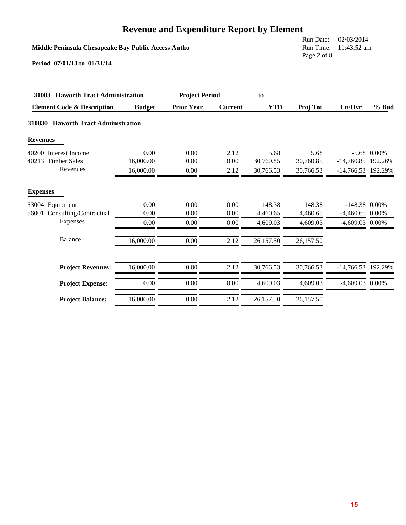|                                                     |                                       | Revenue and Expenditure Report by Element |                |            |           |                    |               |
|-----------------------------------------------------|---------------------------------------|-------------------------------------------|----------------|------------|-----------|--------------------|---------------|
| Middle Peninsula Chesapeake Bay Public Access Autho | Run Date:<br>Run Time:<br>Page 2 of 8 | 02/03/2014<br>11:43:52 am                 |                |            |           |                    |               |
| Period 07/01/13 to 01/31/14                         |                                       |                                           |                |            |           |                    |               |
| 31003 Haworth Tract Administration                  |                                       | <b>Project Period</b>                     |                | to         |           |                    |               |
| <b>Element Code &amp; Description</b>               | <b>Budget</b>                         | <b>Prior Year</b>                         | <b>Current</b> | <b>YTD</b> | Proj Tot  | Un/Ovr             | $%$ Bud       |
| 310030 Haworth Tract Administration                 |                                       |                                           |                |            |           |                    |               |
| <b>Revenues</b>                                     |                                       |                                           |                |            |           |                    |               |
| 40200 Interest Income                               | 0.00                                  | 0.00                                      | 2.12           | 5.68       | 5.68      |                    | $-5.68$ 0.00% |
| 40213 Timber Sales                                  | 16,000.00                             | 0.00                                      | 0.00           | 30,760.85  | 30,760.85 | -14,760.85 192.26% |               |
| Revenues                                            | 16,000.00                             | 0.00                                      | 2.12           | 30,766.53  | 30,766.53 | -14,766.53 192.29% |               |
| <b>Expenses</b>                                     |                                       |                                           |                |            |           |                    |               |
| 53004 Equipment                                     | 0.00                                  | 0.00                                      | 0.00           | 148.38     | 148.38    | $-148.38$ 0.00%    |               |
| 56001 Consulting/Contractual                        | 0.00                                  | 0.00                                      | 0.00           | 4,460.65   | 4,460.65  | $-4,460.65$ 0.00%  |               |
| Expenses                                            | 0.00                                  | 0.00                                      | 0.00           | 4,609.03   | 4,609.03  | $-4,609.03$ 0.00%  |               |
| Balance:                                            | 16,000.00                             | 0.00                                      | 2.12           | 26,157.50  | 26,157.50 |                    |               |
| <b>Project Revenues:</b>                            | 16,000.00                             | 0.00                                      | 2.12           | 30,766.53  | 30,766.53 | -14,766.53 192.29% |               |
| <b>Project Expense:</b>                             | 0.00                                  | 0.00                                      | 0.00           | 4,609.03   | 4,609.03  | -4,609.03 0.00%    |               |
| <b>Project Balance:</b>                             | 16,000.00                             | 0.00                                      | 2.12           | 26,157.50  | 26,157.50 |                    |               |

### **Revenue and Expenditure Report by Element**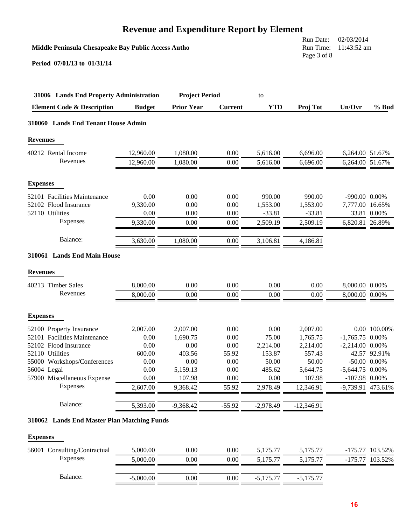|                                                     |                  | <b>Revenue and Expenditure Report by Element</b> |                |                  |                                                                    |                                      |                |
|-----------------------------------------------------|------------------|--------------------------------------------------|----------------|------------------|--------------------------------------------------------------------|--------------------------------------|----------------|
| Middle Peninsula Chesapeake Bay Public Access Autho |                  |                                                  |                |                  | 02/03/2014<br>Run Date:<br>Run Time:<br>11:43:52 am<br>Page 3 of 8 |                                      |                |
| Period 07/01/13 to 01/31/14                         |                  |                                                  |                |                  |                                                                    |                                      |                |
| 31006 Lands End Property Administration             |                  | <b>Project Period</b>                            |                | to               |                                                                    |                                      |                |
| <b>Element Code &amp; Description</b>               | <b>Budget</b>    | <b>Prior Year</b>                                | <b>Current</b> | <b>YTD</b>       | Proj Tot                                                           | Un/Ovr                               | $%$ Bud        |
| 310060 Lands End Tenant House Admin                 |                  |                                                  |                |                  |                                                                    |                                      |                |
| <b>Revenues</b>                                     |                  |                                                  |                |                  |                                                                    |                                      |                |
| 40212 Rental Income                                 | 12,960.00        | 1,080.00                                         | 0.00           | 5,616.00         | 6,696.00                                                           | 6,264.00 51.67%                      |                |
| Revenues                                            | 12,960.00        | 1,080.00                                         | 0.00           | 5,616.00         | 6,696.00                                                           | 6,264.00 51.67%                      |                |
| <b>Expenses</b>                                     |                  |                                                  |                |                  |                                                                    |                                      |                |
| 52101 Facilities Maintenance                        | 0.00             | 0.00                                             | 0.00           | 990.00           | 990.00                                                             | $-990.00 \quad 0.00\%$               |                |
| 52102 Flood Insurance                               | 9,330.00         | 0.00                                             | 0.00           | 1,553.00         | 1,553.00                                                           | 7,777.00 16.65%                      |                |
| 52110 Utilities                                     | 0.00             | 0.00                                             | 0.00           | $-33.81$         | $-33.81$                                                           |                                      | 33.81 0.00%    |
| Expenses                                            | 9,330.00         | 0.00                                             | 0.00           | 2,509.19         | 2,509.19                                                           | 6,820.81 26.89%                      |                |
| Balance:                                            | 3,630.00         | 1,080.00                                         | 0.00           | 3,106.81         | 4,186.81                                                           |                                      |                |
| 310061 Lands End Main House                         |                  |                                                  |                |                  |                                                                    |                                      |                |
| <b>Revenues</b>                                     |                  |                                                  |                |                  |                                                                    |                                      |                |
| 40213 Timber Sales                                  | 8,000.00         | 0.00                                             | 0.00           | 0.00             | 0.00                                                               | 8,000.00 0.00%                       |                |
| Revenues                                            | 8,000.00         | 0.00                                             | 0.00           | 0.00             | 0.00                                                               | 8,000.00 0.00%                       |                |
| <b>Expenses</b>                                     |                  |                                                  |                |                  |                                                                    |                                      |                |
| 52100 Property Insurance                            | 2,007.00         | 2,007.00                                         | 0.00           | 0.00             | 2,007.00                                                           |                                      | 0.00 100.00%   |
| 52101 Facilities Maintenance                        | 0.00             | 1,690.75                                         | 0.00           | 75.00            | 1,765.75                                                           | $-1,765.75$ 0.00%                    |                |
| 52102 Flood Insurance                               | 0.00             | 0.00                                             | 0.00           | 2,214.00         | 2,214.00                                                           | $-2,214.00$ 0.00%                    |                |
| 52110 Utilities                                     | 600.00           | 403.56                                           | 55.92          | 153.87           | 557.43                                                             |                                      | 42.57 92.91%   |
| 55000 Workshops/Conferences                         | 0.00             | 0.00                                             | 0.00           | 50.00            | 50.00                                                              |                                      | $-50.00$ 0.00% |
| 56004 Legal                                         | 0.00             | 5,159.13                                         | 0.00           | 485.62           | 5,644.75                                                           | $-5,644.75$ 0.00%                    |                |
| 57900 Miscellaneous Expense<br>Expenses             | 0.00<br>2,607.00 | 107.98<br>9,368.42                               | 0.00<br>55.92  | 0.00<br>2,978.49 | 107.98<br>12,346.91                                                | $-107.98$ 0.00%<br>-9,739.91 473.61% |                |
|                                                     |                  |                                                  |                |                  |                                                                    |                                      |                |
| Balance:                                            | 5,393.00         | $-9,368.42$                                      | $-55.92$       | $-2,978.49$      | $-12,346.91$                                                       |                                      |                |
| 310062 Lands End Master Plan Matching Funds         |                  |                                                  |                |                  |                                                                    |                                      |                |
| <b>Expenses</b>                                     |                  |                                                  |                |                  |                                                                    |                                      |                |

| 56001 Consulting/Contractual | 5,000.00    | $0.00\,$ | $0.00\,$ | 5.175.77    | 5.175.77    | $-175.77$ | 103.52% |
|------------------------------|-------------|----------|----------|-------------|-------------|-----------|---------|
| Expenses                     | 5,000.00    | $0.00\,$ | $0.00\,$ | 5.175.77    | 5.175.77    | -175.77   | 103.52% |
| Balance:                     | $-5,000.00$ | $0.00\,$ | $0.00\,$ | $-5.175.77$ | $-5.175.77$ |           |         |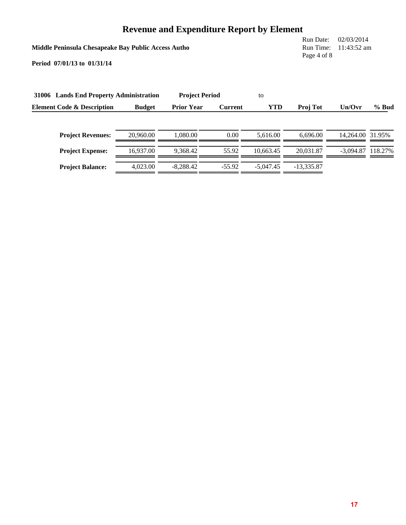|                                                                                    |               | Revenue and Expenditure Report by Element  |                |                  |                                       |                           |         |
|------------------------------------------------------------------------------------|---------------|--------------------------------------------|----------------|------------------|---------------------------------------|---------------------------|---------|
| Middle Peninsula Chesapeake Bay Public Access Autho<br>Period 07/01/13 to 01/31/14 |               |                                            |                |                  | Run Date:<br>Run Time:<br>Page 4 of 8 | 02/03/2014<br>11:43:52 am |         |
| 31006 Lands End Property Administration<br><b>Element Code &amp; Description</b>   | <b>Budget</b> | <b>Project Period</b><br><b>Prior Year</b> | <b>Current</b> | to<br><b>YTD</b> | Proj Tot                              | Un/Ovr                    | $%$ Bud |
| <b>Project Revenues:</b>                                                           | 20.960.00     | 1.080.00                                   | 0.00           | 5.616.00         | 6.696.00                              | 14.264.00 31.95%          |         |
| <b>Project Expense:</b>                                                            | 16.937.00     | 9.368.42                                   | 55.92          | 10.663.45        | 20.031.87                             | $-3,094.87$ 118.27%       |         |
| <b>Project Balance:</b>                                                            | 4.023.00      | $-8.288.42$                                | $-55.92$       | $-5.047.45$      | $-13.335.87$                          |                           |         |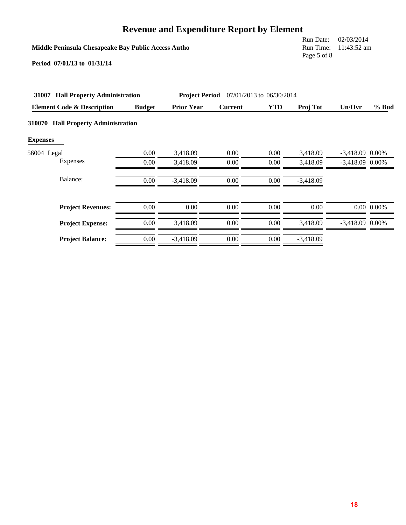| <b>Revenue and Expenditure Report by Element</b> |
|--------------------------------------------------|
|--------------------------------------------------|

| Middle Peninsula Chesapeake Bay Public Access Autho<br>Period 07/01/13 to 01/31/14 | Run Date:<br>Run Time:<br>Page 5 of 8 | 02/03/2014<br>11:43:52 am |                |                          |                      |                                        |                |
|------------------------------------------------------------------------------------|---------------------------------------|---------------------------|----------------|--------------------------|----------------------|----------------------------------------|----------------|
| <b>Hall Property Administration</b><br>31007                                       |                                       | <b>Project Period</b>     |                | 07/01/2013 to 06/30/2014 |                      |                                        |                |
| <b>Element Code &amp; Description</b>                                              | <b>Budget</b>                         | <b>Prior Year</b>         | <b>Current</b> | <b>YTD</b>               | Proj Tot             | Un/Ovr                                 | $%$ Bud        |
| <b>Hall Property Administration</b><br>310070<br><b>Expenses</b>                   |                                       |                           |                |                          |                      |                                        |                |
| 56004 Legal<br>Expenses                                                            | 0.00<br>0.00                          | 3,418.09<br>3,418.09      | 0.00<br>0.00   | 0.00<br>0.00             | 3,418.09<br>3,418.09 | $-3,418.09$ 0.00%<br>$-3,418.09$ 0.00% |                |
| Balance:                                                                           | 0.00                                  | $-3,418.09$               | 0.00           | 0.00                     | $-3,418.09$          |                                        |                |
| <b>Project Revenues:</b>                                                           | 0.00                                  | 0.00                      | 0.00           | $0.00\,$                 | 0.00                 |                                        | $0.00\ 0.00\%$ |
| <b>Project Expense:</b>                                                            | 0.00                                  | 3,418.09                  | 0.00           | 0.00                     | 3,418.09             | $-3,418.09$ 0.00%                      |                |
| <b>Project Balance:</b>                                                            | 0.00                                  | $-3,418.09$               | 0.00           | 0.00                     | $-3,418.09$          |                                        |                |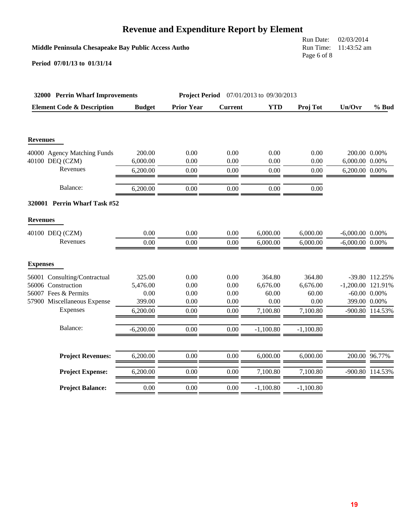# **Revenue and Expenditure Report by Element**

### **Middle Peninsula Chesapeake Bay Public Access Autho**

Run Date: 02/03/2014 Run Time: 11:43:52 am Page 6 of 8

| 32000 Perrin Wharf Improvements       |               | <b>Project Period</b><br>07/01/2013 to 09/30/2013 |                |             |             |                      |                   |
|---------------------------------------|---------------|---------------------------------------------------|----------------|-------------|-------------|----------------------|-------------------|
| <b>Element Code &amp; Description</b> | <b>Budget</b> | <b>Prior Year</b>                                 | <b>Current</b> | <b>YTD</b>  | Proj Tot    | Un/Ovr               | % Bud             |
|                                       |               |                                                   |                |             |             |                      |                   |
| <b>Revenues</b>                       |               |                                                   |                |             |             |                      |                   |
| 40000 Agency Matching Funds           | 200.00        | 0.00                                              | 0.00           | 0.00        | 0.00        | 200.00 0.00%         |                   |
| 40100 DEQ (CZM)                       | 6,000.00      | 0.00                                              | 0.00           | 0.00        | 0.00        | 6,000.00 0.00%       |                   |
| Revenues                              | 6,200.00      | 0.00                                              | 0.00           | 0.00        | 0.00        | 6,200.00 0.00%       |                   |
| Balance:                              | 6,200.00      | 0.00                                              | 0.00           | 0.00        | 0.00        |                      |                   |
| 320001 Perrin Wharf Task #52          |               |                                                   |                |             |             |                      |                   |
| <b>Revenues</b>                       |               |                                                   |                |             |             |                      |                   |
| 40100 DEQ (CZM)                       | 0.00          | 0.00                                              | 0.00           | 6,000.00    | 6,000.00    | $-6,000.00$ $0.00\%$ |                   |
| Revenues                              | 0.00          | 0.00                                              | 0.00           | 6,000.00    | 6,000.00    | $-6,000.00$ $0.00\%$ |                   |
| <b>Expenses</b>                       |               |                                                   |                |             |             |                      |                   |
| 56001 Consulting/Contractual          | 325.00        | 0.00                                              | 0.00           | 364.80      | 364.80      |                      | -39.80 112.25%    |
| 56006 Construction                    | 5,476.00      | 0.00                                              | 0.00           | 6,676.00    | 6,676.00    | $-1,200.00$ 121.91%  |                   |
| 56007 Fees & Permits                  | 0.00          | 0.00                                              | 0.00           | 60.00       | 60.00       |                      | $-60.00$ $0.00\%$ |
| 57900 Miscellaneous Expense           | 399.00        | $0.00\,$                                          | 0.00           | 0.00        | 0.00        | 399.00 0.00%         |                   |
| Expenses                              | 6,200.00      | 0.00                                              | 0.00           | 7,100.80    | 7,100.80    |                      | -900.80 114.53%   |
| Balance:                              | $-6,200.00$   | 0.00                                              | 0.00           | $-1,100.80$ | $-1,100.80$ |                      |                   |
|                                       |               |                                                   |                |             |             |                      |                   |
| <b>Project Revenues:</b>              | 6,200.00      | 0.00                                              | 0.00           | 6,000.00    | 6,000.00    |                      | 200.00 96.77%     |
| <b>Project Expense:</b>               | 6,200.00      | 0.00                                              | 0.00           | 7,100.80    | 7,100.80    |                      | -900.80 114.53%   |
| <b>Project Balance:</b>               | 0.00          | 0.00                                              | 0.00           | $-1,100.80$ | $-1,100.80$ |                      |                   |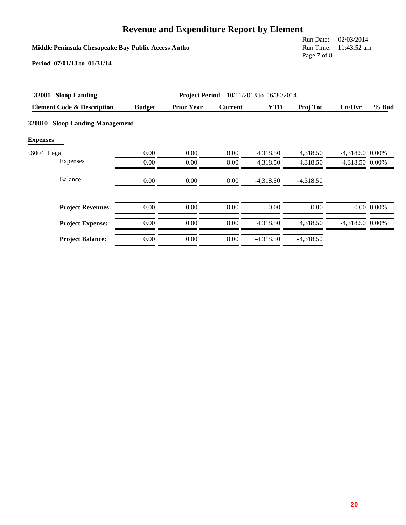| <b>Revenue and Expenditure Report by Element</b> |  |
|--------------------------------------------------|--|
|--------------------------------------------------|--|

| Middle Peninsula Chesapeake Bay Public Access Autho<br>Period 07/01/13 to 01/31/14 | Run Date:<br>Run Time:<br>Page 7 of 8 | 02/03/2014<br>11:43:52 am |                |                          |             |                 |                |
|------------------------------------------------------------------------------------|---------------------------------------|---------------------------|----------------|--------------------------|-------------|-----------------|----------------|
| 32001<br><b>Sloop Landing</b>                                                      |                                       | <b>Project Period</b>     |                | 10/11/2013 to 06/30/2014 |             |                 |                |
| <b>Element Code &amp; Description</b>                                              | <b>Budget</b>                         | <b>Prior Year</b>         | <b>Current</b> | <b>YTD</b>               | Proj Tot    | Un/Ovr          | $%$ Bud        |
| <b>Sloop Landing Management</b><br><b>320010</b><br><b>Expenses</b>                |                                       |                           |                |                          |             |                 |                |
| 56004 Legal                                                                        | 0.00                                  | 0.00                      | 0.00           | 4,318.50                 | 4,318.50    | -4,318.50 0.00% |                |
| Expenses                                                                           | 0.00                                  | 0.00                      | 0.00           | 4,318.50                 | 4,318.50    | -4,318.50 0.00% |                |
| Balance:                                                                           | 0.00                                  | 0.00                      | 0.00           | $-4,318.50$              | $-4,318.50$ |                 |                |
| <b>Project Revenues:</b>                                                           | 0.00                                  | 0.00                      | 0.00           | 0.00                     | 0.00        |                 | $0.00\ 0.00\%$ |
| <b>Project Expense:</b>                                                            | 0.00                                  | 0.00                      | 0.00           | 4,318.50                 | 4,318.50    | -4,318.50 0.00% |                |
|                                                                                    |                                       |                           |                |                          |             |                 |                |

**Project Balance:** 0.00 0.00 0.00 -4,318.50 -4,318.50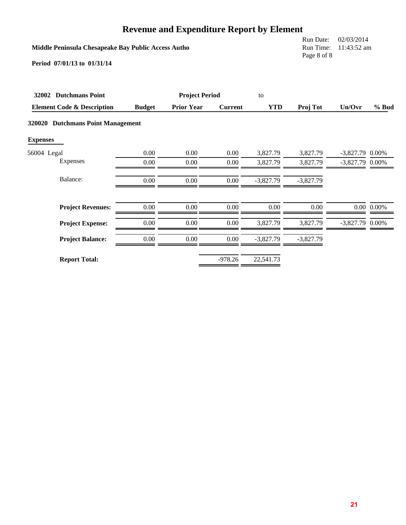|                 | <b>Revenue and Expenditure Report by Element</b>    |               |                       |                |             |                                       |                           |                |  |  |
|-----------------|-----------------------------------------------------|---------------|-----------------------|----------------|-------------|---------------------------------------|---------------------------|----------------|--|--|
|                 | Middle Peninsula Chesapeake Bay Public Access Autho |               |                       |                |             | Run Date:<br>Run Time:<br>Page 8 of 8 | 02/03/2014<br>11:43:52 am |                |  |  |
|                 | Period 07/01/13 to 01/31/14                         |               |                       |                |             |                                       |                           |                |  |  |
|                 | 32002 Dutchmans Point                               |               | <b>Project Period</b> |                | to          |                                       |                           |                |  |  |
|                 | <b>Element Code &amp; Description</b>               | <b>Budget</b> | <b>Prior Year</b>     | <b>Current</b> | <b>YTD</b>  | Proj Tot                              | Un/Ovr                    | $%$ Bud        |  |  |
| <b>Expenses</b> | 320020 Dutchmans Point Management                   |               |                       |                |             |                                       |                           |                |  |  |
| 56004 Legal     |                                                     | 0.00          | 0.00                  | 0.00           | 3,827.79    | 3,827.79                              | $-3,827.79$               | 0.00%          |  |  |
|                 | Expenses                                            | 0.00          | 0.00                  | 0.00           | 3,827.79    | 3,827.79                              | $-3,827.79$ 0.00%         |                |  |  |
|                 | Balance:                                            | $0.00\,$      | 0.00                  | $0.00\,$       | $-3,827.79$ | $-3,827.79$                           |                           |                |  |  |
|                 | <b>Project Revenues:</b>                            | 0.00          | 0.00                  | 0.00           | 0.00        | 0.00                                  |                           | $0.00\ 0.00\%$ |  |  |
|                 | <b>Project Expense:</b>                             | 0.00          | 0.00                  | 0.00           | 3,827.79    | 3,827.79                              | $-3,827.79$ 0.00%         |                |  |  |
|                 | <b>Project Balance:</b>                             | $0.00\,$      | 0.00                  | 0.00           | $-3,827.79$ | $-3,827.79$                           |                           |                |  |  |
|                 | <b>Report Total:</b>                                |               |                       | $-978.26$      | 22,541.73   |                                       |                           |                |  |  |

**21**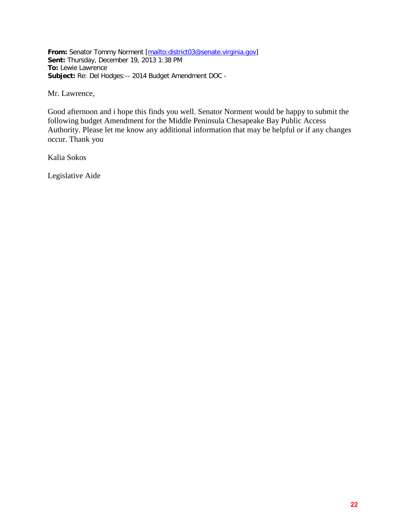**From:** Senator Tommy Norment [\[mailto:district03@senate.virginia.gov\]](mailto:district03@senate.virginia.gov) **Sent:** Thursday, December 19, 2013 1:38 PM **To:** Lewie Lawrence **Subject:** Re: Del Hodges:-- 2014 Budget Amendment DOC -

Mr. Lawrence,

Good afternoon and i hope this finds you well. Senator Norment would be happy to submit the following budget Amendment for the Middle Peninsula Chesapeake Bay Public Access Authority. Please let me know any additional information that may be helpful or if any changes occur. Thank you

Kalia Sokos

Legislative Aide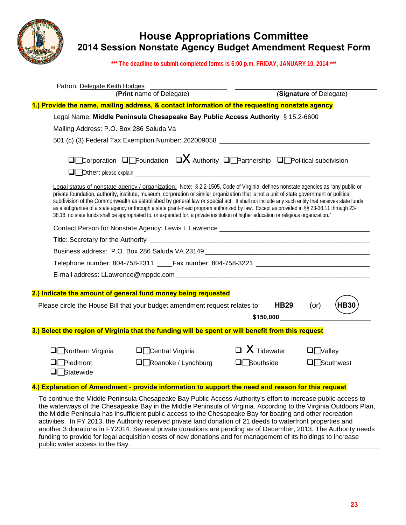

## **House Appropriations Committee 2014 Session Nonstate Agency Budget Amendment Request Form**

**\*\*\* The deadline to submit completed forms is 5:00 p.m. FRIDAY, JANUARY 10, 2014 \*\*\***

| Patron: Delegate Keith Hodges                                                                                                                                                                                                                                                                                                                                                                                                                                                                                                                                                                                                                                                                                                                                                                                                                  |                                 |                               |
|------------------------------------------------------------------------------------------------------------------------------------------------------------------------------------------------------------------------------------------------------------------------------------------------------------------------------------------------------------------------------------------------------------------------------------------------------------------------------------------------------------------------------------------------------------------------------------------------------------------------------------------------------------------------------------------------------------------------------------------------------------------------------------------------------------------------------------------------|---------------------------------|-------------------------------|
| (Print name of Delegate)                                                                                                                                                                                                                                                                                                                                                                                                                                                                                                                                                                                                                                                                                                                                                                                                                       |                                 | (Signature of Delegate)       |
| 1.) Provide the name, mailing address, & contact information of the requesting nonstate agency                                                                                                                                                                                                                                                                                                                                                                                                                                                                                                                                                                                                                                                                                                                                                 |                                 |                               |
| Legal Name: Middle Peninsula Chesapeake Bay Public Access Authority § 15.2-6600                                                                                                                                                                                                                                                                                                                                                                                                                                                                                                                                                                                                                                                                                                                                                                |                                 |                               |
| Mailing Address: P.O. Box 286 Saluda Va                                                                                                                                                                                                                                                                                                                                                                                                                                                                                                                                                                                                                                                                                                                                                                                                        |                                 |                               |
| 501 (c) (3) Federal Tax Exemption Number: 262009058 ____________________________                                                                                                                                                                                                                                                                                                                                                                                                                                                                                                                                                                                                                                                                                                                                                               |                                 |                               |
| $\square$ Corporation $\square$ Foundation $\square X$ Authority $\square$ Partnership $\square$ Political subdivision<br>Legal status of nonstate agency / organization: Note: § 2.2-1505, Code of Virginia, defines nonstate agencies as "any public or<br>private foundation, authority, institute, museum, corporation or similar organization that is not a unit of state government or political<br>subdivision of the Commonwealth as established by general law or special act. It shall not include any such entity that receives state funds<br>as a subgrantee of a state agency or through a state grant-in-aid program authorized by law. Except as provided in §§ 23-38.11 through 23-<br>38.18, no state funds shall be appropriated to, or expended for, a private institution of higher education or religious organization." |                                 |                               |
|                                                                                                                                                                                                                                                                                                                                                                                                                                                                                                                                                                                                                                                                                                                                                                                                                                                |                                 |                               |
|                                                                                                                                                                                                                                                                                                                                                                                                                                                                                                                                                                                                                                                                                                                                                                                                                                                |                                 |                               |
| Business address: P.O. Box 286 Saluda VA 23149 __________________________________                                                                                                                                                                                                                                                                                                                                                                                                                                                                                                                                                                                                                                                                                                                                                              |                                 |                               |
| Telephone number: 804-758-2311 _____Fax number: 804-758-3221 ____________________                                                                                                                                                                                                                                                                                                                                                                                                                                                                                                                                                                                                                                                                                                                                                              |                                 |                               |
|                                                                                                                                                                                                                                                                                                                                                                                                                                                                                                                                                                                                                                                                                                                                                                                                                                                |                                 |                               |
| 2.) Indicate the amount of general fund money being requested<br>Please circle the House Bill that your budget amendment request relates to:                                                                                                                                                                                                                                                                                                                                                                                                                                                                                                                                                                                                                                                                                                   | <b>HB29</b><br>\$150,000        | <b>HB30</b><br>$($ or $)$     |
| 3.) Select the region of Virginia that the funding will be spent or will benefit from this request                                                                                                                                                                                                                                                                                                                                                                                                                                                                                                                                                                                                                                                                                                                                             |                                 |                               |
| Northern Virginia<br>$\Box$ Central Virginia<br>Piedmont<br>$\Box$ Roanoke / Lynchburg<br>$\Box\Box$ Statewide                                                                                                                                                                                                                                                                                                                                                                                                                                                                                                                                                                                                                                                                                                                                 | $\Box$ X Tidewater<br>Southside | $\square$ Valley<br>Southwest |

#### **4.) Explanation of Amendment - provide information to support the need and reason for this request**

To continue the Middle Peninsula Chesapeake Bay Public Access Authority's effort to increase public access to the waterways of the Chesapeake Bay in the Middle Peninsula of Virginia. According to the Virginia Outdoors Plan, the Middle Peninsula has insufficient public access to the Chesapeake Bay for boating and other recreation activities. In FY 2013, the Authority received private land donation of 21 deeds to waterfront properties and another 3 donations in FY2014. Several private donations are pending as of December, 2013. The Authority needs funding to provide for legal acquisition costs of new donations and for management of its holdings to increase public water access to the Bay.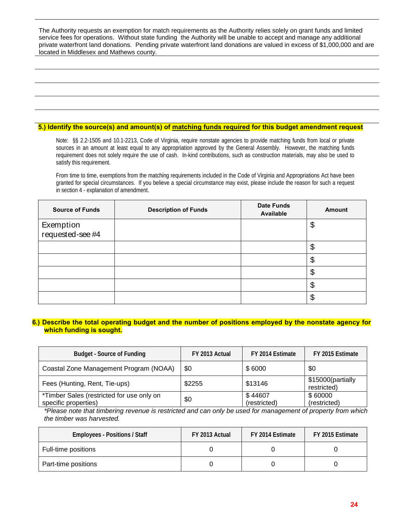The Authority requests an exemption for match requirements as the Authority relies solely on grant funds and limited service fees for operations. Without state funding the Authority will be unable to accept and manage any additional private waterfront land donations. Pending private waterfront land donations are valued in excess of \$1,000,000 and are located in Middlesex and Mathews county.

#### **5.) Identify the source(s) and amount(s) of matching funds required for this budget amendment request**

Note: §§ 2.2-1505 and 10.1-2213, Code of Virginia, require nonstate agencies to provide matching funds from local or private sources in an amount at least equal to any appropriation approved by the General Assembly. However, the matching funds requirement does not solely require the use of cash. In-kind contributions, such as construction materials, may also be used to satisfy this requirement.

From time to time, exemptions from the matching requirements included in the Code of Virginia and Appropriations Act have been granted for special circumstances. If you believe a special circumstance may exist, please include the reason for such a request in section 4 - explanation of amendment.

| <b>Source of Funds</b>        | <b>Description of Funds</b> | <b>Date Funds</b><br>Available | Amount                |
|-------------------------------|-----------------------------|--------------------------------|-----------------------|
| Exemption<br>requested-see #4 |                             |                                | \$                    |
|                               |                             |                                | \$                    |
|                               |                             |                                | \$                    |
|                               |                             |                                | \$                    |
|                               |                             |                                | $\boldsymbol{\theta}$ |
|                               |                             |                                | \$                    |

#### **6.) Describe the total operating budget and the number of positions employed by the nonstate agency for which funding is sought.**

| <b>Budget - Source of Funding</b>                                 | FY 2013 Actual | FY 2014 Estimate        | FY 2015 Estimate                 |
|-------------------------------------------------------------------|----------------|-------------------------|----------------------------------|
| Coastal Zone Management Program (NOAA)                            | \$0            | \$6000                  | \$0                              |
| Fees (Hunting, Rent, Tie-ups)                                     | \$2255         | \$13146                 | \$15000(partially<br>restricted) |
| *Timber Sales (restricted for use only on<br>specific properties) | \$0            | \$44607<br>(restricted) | \$60000<br>(restricted)          |

*\*Please note that timbering revenue is restricted and can only be used for management of property from which the timber was harvested.*

| <b>Employees - Positions / Staff</b> | FY 2013 Actual | FY 2014 Estimate | FY 2015 Estimate |
|--------------------------------------|----------------|------------------|------------------|
| Full-time positions                  |                |                  |                  |
| Part-time positions                  |                |                  |                  |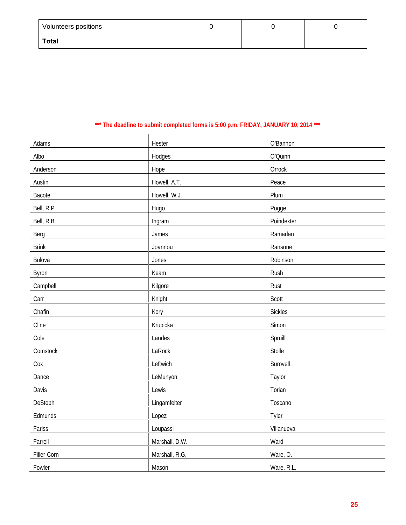| <b>Volunteers positions</b> |  |  |
|-----------------------------|--|--|
| Total                       |  |  |

### **\*\*\* The deadline to submit completed forms is 5:00 p.m. FRIDAY, JANUARY 10, 2014 \*\*\***

| Adams        | Hester         | O'Bannon       |
|--------------|----------------|----------------|
| Albo         | Hodges         | O'Quinn        |
| Anderson     | Hope           | Orrock         |
| Austin       | Howell, A.T.   | Peace          |
| Bacote       | Howell, W.J.   | Plum           |
| Bell, R.P.   | Hugo           | Pogge          |
| Bell, R.B.   | Ingram         | Poindexter     |
| Berg         | James          | Ramadan        |
| <b>Brink</b> | Joannou        | Ransone        |
| Bulova       | Jones          | Robinson       |
| Byron        | Keam           | Rush           |
| Campbell     | Kilgore        | Rust           |
| Carr         | Knight         | Scott          |
| Chafin       | Kory           | <b>Sickles</b> |
| Cline        | Krupicka       | Simon          |
| Cole         | Landes         | Spruill        |
| Comstock     | LaRock         | Stolle         |
| Cox          | Leftwich       | Surovell       |
| Dance        | LeMunyon       | Taylor         |
| Davis        | Lewis          | Torian         |
| DeSteph      | Lingamfelter   | Toscano        |
| Edmunds      | Lopez          | Tyler          |
| Fariss       | Loupassi       | Villanueva     |
| Farrell      | Marshall, D.W. | Ward           |
| Filler-Corn  | Marshall, R.G. | Ware, O.       |
| Fowler       | Mason          | Ware, R.L.     |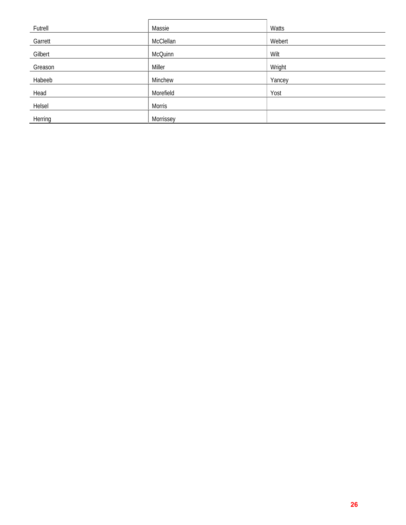| Futrell | Massie         | Watts  |
|---------|----------------|--------|
| Garrett | McClellan      | Webert |
| Gilbert | <b>McQuinn</b> | Wilt   |
| Greason | Miller         | Wright |
| Habeeb  | Minchew        | Yancey |
| Head    | Morefield      | Yost   |
| Helsel  | <b>Morris</b>  |        |
| Herring | Morrissey      |        |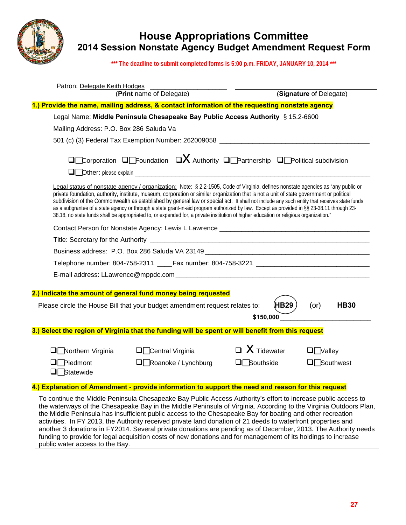

## **House Appropriations Committee 2014 Session Nonstate Agency Budget Amendment Request Form**

**\*\*\* The deadline to submit completed forms is 5:00 p.m. FRIDAY, JANUARY 10, 2014 \*\*\***

| Patron: Delegate Keith Hodges                                                                                                                                                                                                                                                                                                                                                                                                                                                                                                                                                                                                                                                                                                                                                                                                                  |                                                                                     |
|------------------------------------------------------------------------------------------------------------------------------------------------------------------------------------------------------------------------------------------------------------------------------------------------------------------------------------------------------------------------------------------------------------------------------------------------------------------------------------------------------------------------------------------------------------------------------------------------------------------------------------------------------------------------------------------------------------------------------------------------------------------------------------------------------------------------------------------------|-------------------------------------------------------------------------------------|
| (Print name of Delegate)                                                                                                                                                                                                                                                                                                                                                                                                                                                                                                                                                                                                                                                                                                                                                                                                                       | (Signature of Delegate)                                                             |
| 1.) Provide the name, mailing address, & contact information of the requesting nonstate agency                                                                                                                                                                                                                                                                                                                                                                                                                                                                                                                                                                                                                                                                                                                                                 |                                                                                     |
| Legal Name: Middle Peninsula Chesapeake Bay Public Access Authority § 15.2-6600                                                                                                                                                                                                                                                                                                                                                                                                                                                                                                                                                                                                                                                                                                                                                                |                                                                                     |
| Mailing Address: P.O. Box 286 Saluda Va                                                                                                                                                                                                                                                                                                                                                                                                                                                                                                                                                                                                                                                                                                                                                                                                        |                                                                                     |
| 501 (c) (3) Federal Tax Exemption Number: 262009058 ____________________________                                                                                                                                                                                                                                                                                                                                                                                                                                                                                                                                                                                                                                                                                                                                                               |                                                                                     |
| $\square$ Corporation $\square$ Foundation $\square X$ Authority $\square$ Partnership $\square$ Political subdivision<br>Legal status of nonstate agency / organization: Note: § 2.2-1505, Code of Virginia, defines nonstate agencies as "any public or<br>private foundation, authority, institute, museum, corporation or similar organization that is not a unit of state government or political<br>subdivision of the Commonwealth as established by general law or special act. It shall not include any such entity that receives state funds<br>as a subgrantee of a state agency or through a state grant-in-aid program authorized by law. Except as provided in §§ 23-38.11 through 23-<br>38.18, no state funds shall be appropriated to, or expended for, a private institution of higher education or religious organization." |                                                                                     |
|                                                                                                                                                                                                                                                                                                                                                                                                                                                                                                                                                                                                                                                                                                                                                                                                                                                |                                                                                     |
|                                                                                                                                                                                                                                                                                                                                                                                                                                                                                                                                                                                                                                                                                                                                                                                                                                                |                                                                                     |
| Business address: P.O. Box 286 Saluda VA 23149 <b>Construction and Construction Construction</b>                                                                                                                                                                                                                                                                                                                                                                                                                                                                                                                                                                                                                                                                                                                                               |                                                                                     |
| Telephone number: 804-758-2311 _____Fax number: 804-758-3221 ____________________                                                                                                                                                                                                                                                                                                                                                                                                                                                                                                                                                                                                                                                                                                                                                              |                                                                                     |
|                                                                                                                                                                                                                                                                                                                                                                                                                                                                                                                                                                                                                                                                                                                                                                                                                                                |                                                                                     |
|                                                                                                                                                                                                                                                                                                                                                                                                                                                                                                                                                                                                                                                                                                                                                                                                                                                |                                                                                     |
| 2.) Indicate the amount of general fund money being requested<br>Please circle the House Bill that your budget amendment request relates to:                                                                                                                                                                                                                                                                                                                                                                                                                                                                                                                                                                                                                                                                                                   | (HB29<br>(or)<br><b>HB30</b><br>\$150,000                                           |
| 3.) Select the region of Virginia that the funding will be spent or will benefit from this request                                                                                                                                                                                                                                                                                                                                                                                                                                                                                                                                                                                                                                                                                                                                             |                                                                                     |
| $\Box$ Northern Virginia<br>$\Box$ Central Virginia<br>Piedmont<br>$\Box$ Roanoke / Lynchburg<br>$\Box \Box$ Statewide                                                                                                                                                                                                                                                                                                                                                                                                                                                                                                                                                                                                                                                                                                                         | $\Box$ X Tidewater<br>$\Box$ Valley<br>$\Box\Box$ Southside<br>$\Box\Box$ Southwest |

#### **4.) Explanation of Amendment - provide information to support the need and reason for this request**

To continue the Middle Peninsula Chesapeake Bay Public Access Authority's effort to increase public access to the waterways of the Chesapeake Bay in the Middle Peninsula of Virginia. According to the Virginia Outdoors Plan, the Middle Peninsula has insufficient public access to the Chesapeake Bay for boating and other recreation activities. In FY 2013, the Authority received private land donation of 21 deeds to waterfront properties and another 3 donations in FY2014. Several private donations are pending as of December, 2013. The Authority needs funding to provide for legal acquisition costs of new donations and for management of its holdings to increase public water access to the Bay.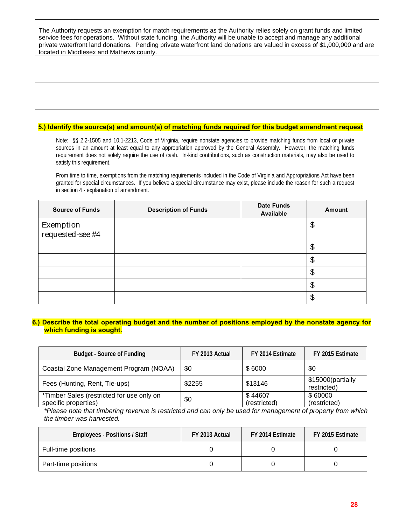The Authority requests an exemption for match requirements as the Authority relies solely on grant funds and limited service fees for operations. Without state funding the Authority will be unable to accept and manage any additional private waterfront land donations. Pending private waterfront land donations are valued in excess of \$1,000,000 and are located in Middlesex and Mathews county.

#### **5.) Identify the source(s) and amount(s) of matching funds required for this budget amendment request**

Note: §§ 2.2-1505 and 10.1-2213, Code of Virginia, require nonstate agencies to provide matching funds from local or private sources in an amount at least equal to any appropriation approved by the General Assembly. However, the matching funds requirement does not solely require the use of cash. In-kind contributions, such as construction materials, may also be used to satisfy this requirement.

From time to time, exemptions from the matching requirements included in the Code of Virginia and Appropriations Act have been granted for special circumstances. If you believe a special circumstance may exist, please include the reason for such a request in section 4 - explanation of amendment.

| <b>Source of Funds</b>        | <b>Description of Funds</b> | <b>Date Funds</b><br>Available | Amount                |
|-------------------------------|-----------------------------|--------------------------------|-----------------------|
| Exemption<br>requested-see #4 |                             |                                | \$                    |
|                               |                             |                                | \$                    |
|                               |                             |                                | \$                    |
|                               |                             |                                | \$                    |
|                               |                             |                                | $\boldsymbol{\theta}$ |
|                               |                             |                                | \$                    |

#### **6.) Describe the total operating budget and the number of positions employed by the nonstate agency for which funding is sought.**

| <b>Budget - Source of Funding</b>                                 | FY 2013 Actual | FY 2014 Estimate        | FY 2015 Estimate                 |
|-------------------------------------------------------------------|----------------|-------------------------|----------------------------------|
| Coastal Zone Management Program (NOAA)                            | \$0            | \$6000                  | \$0                              |
| Fees (Hunting, Rent, Tie-ups)                                     | \$2255         | \$13146                 | \$15000(partially<br>restricted) |
| *Timber Sales (restricted for use only on<br>specific properties) | \$0            | \$44607<br>(restricted) | \$60000<br>(restricted)          |

*\*Please note that timbering revenue is restricted and can only be used for management of property from which the timber was harvested.*

| <b>Employees - Positions / Staff</b> | FY 2013 Actual | FY 2014 Estimate | FY 2015 Estimate |
|--------------------------------------|----------------|------------------|------------------|
| Full-time positions                  |                |                  |                  |
| Part-time positions                  |                |                  |                  |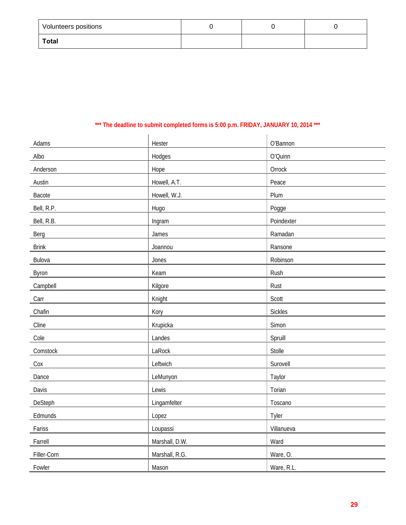| <b>Volunteers positions</b> |  |  |
|-----------------------------|--|--|
| Total                       |  |  |

### **\*\*\* The deadline to submit completed forms is 5:00 p.m. FRIDAY, JANUARY 10, 2014 \*\*\***

| Adams        | Hester         | O'Bannon       |
|--------------|----------------|----------------|
| Albo         | Hodges         | O'Quinn        |
| Anderson     | Hope           | Orrock         |
| Austin       | Howell, A.T.   | Peace          |
| Bacote       | Howell, W.J.   | Plum           |
| Bell, R.P.   | Hugo           | Pogge          |
| Bell, R.B.   | Ingram         | Poindexter     |
| Berg         | James          | Ramadan        |
| <b>Brink</b> | Joannou        | Ransone        |
| Bulova       | Jones          | Robinson       |
| Byron        | Keam           | Rush           |
| Campbell     | Kilgore        | Rust           |
| Carr         | Knight         | Scott          |
| Chafin       | Kory           | <b>Sickles</b> |
| Cline        | Krupicka       | Simon          |
| Cole         | Landes         | Spruill        |
| Comstock     | LaRock         | Stolle         |
| Cox          | Leftwich       | Surovell       |
| Dance        | LeMunyon       | Taylor         |
| Davis        | Lewis          | Torian         |
| DeSteph      | Lingamfelter   | Toscano        |
| Edmunds      | Lopez          | Tyler          |
| Fariss       | Loupassi       | Villanueva     |
| Farrell      | Marshall, D.W. | Ward           |
| Filler-Corn  | Marshall, R.G. | Ware, O.       |
| Fowler       | Mason          | Ware, R.L.     |